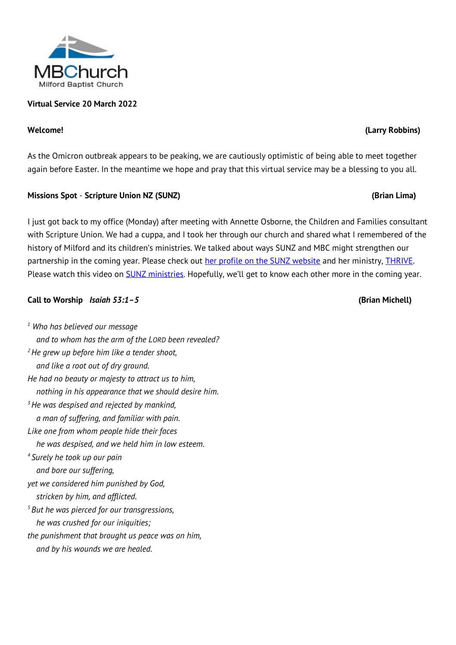## **Virtual Service 20 March 2022**

As the Omicron outbreak appears to be peaking, we are cautiously optimistic of being able to meet together again before Easter. In the meantime we hope and pray that this virtual service may be a blessing to you all.

### **Missions Spot** - **Scripture Union NZ (SUNZ) (Brian Lima)**

I just got back to my office (Monday) after meeting with Annette Osborne, the Children and Families consultant with Scripture Union. We had a cuppa, and I took her through our church and shared what I remembered of the history of Milford and its children's ministries. We talked about ways SUNZ and MBC might strengthen our partnership in the coming year. Please check out [her profile on the SUNZ website](https://www.sunz.org.nz/donate-now/staff/annette-osborne/) and her ministry, **THRIVE**. Please watch this video on **SUNZ ministries**. Hopefully, we'll get to know each other more in the coming year.

## **Call to Worship** *Isaiah 53:1–5* **(Brian Michell)**

*<sup>1</sup> Who has believed our message and to whom has the arm of the LORD been revealed? <sup>2</sup>He grew up before him like a tender shoot, and like a root out of dry ground. He had no beauty or majesty to attract us to him, nothing in his appearance that we should desire him. <sup>3</sup>He was despised and rejected by mankind, a man of suffering, and familiar with pain. Like one from whom people hide their faces he was despised, and we held him in low esteem. <sup>4</sup> Surely he took up our pain and bore our suffering, yet we considered him punished by God, stricken by him, and afflicted. <sup>5</sup> But he was pierced for our transgressions, he was crushed for our iniquities; the punishment that brought us peace was on him,*

 *and by his wounds we are healed.*



# **Welcome! (Larry Robbins)**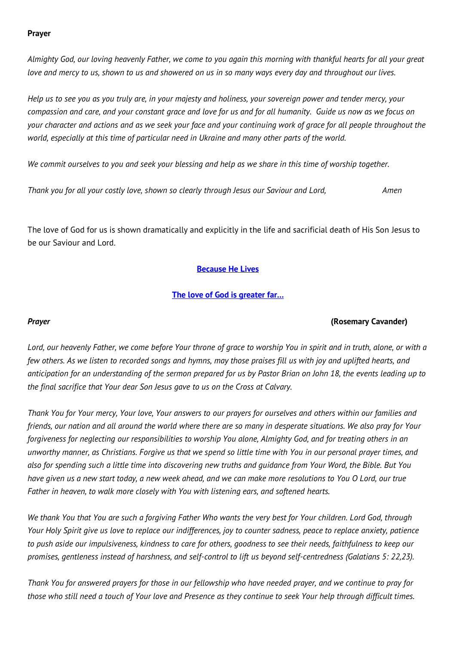### **Prayer**

*Almighty God, our loving heavenly Father, we come to you again this morning with thankful hearts for all your great love and mercy to us, shown to us and showered on us in so many ways every day and throughout our lives.* 

*Help us to see you as you truly are, in your majesty and holiness, your sovereign power and tender mercy, your compassion and care, and your constant grace and love for us and for all humanity. Guide us now as we focus on your character and actions and as we seek your face and your continuing work of grace for all people throughout the world, especially at this time of particular need in Ukraine and many other parts of the world.*

*We commit ourselves to you and seek your blessing and help as we share in this time of worship together.*

*Thank you for all your costly love, shown so clearly through Jesus our Saviour and Lord, Amen*

The love of God for us is shown dramatically and explicitly in the life and sacrificial death of His Son Jesus to be our Saviour and Lord.

## **[Because He Lives](http://www.viewpure.com/egBSduThg3k?start=0&end=0)**

## **[The love of God is greater far…](http://www.viewpure.com/Ji4BWt6mYJY?start=0&end=0)**

## *Prayer* **(Rosemary Cavander)**

*Lord, our heavenly Father, we come before Your throne of grace to worship You in spirit and in truth, alone, or with a few others. As we listen to recorded songs and hymns, may those praises fill us with joy and uplifted hearts, and anticipation for an understanding of the sermon prepared for us by Pastor Brian on John 18, the events leading up to the final sacrifice that Your dear Son Jesus gave to us on the Cross at Calvary.*

*Thank You for Your mercy, Your love, Your answers to our prayers for ourselves and others within our families and friends, our nation and all around the world where there are so many in desperate situations. We also pray for Your*  forgiveness for neglecting our responsibilities to worship You alone, Almighty God, and for treating others in an *unworthy manner, as Christians. Forgive us that we spend so little time with You in our personal prayer times, and also for spending such a little time into discovering new truths and guidance from Your Word, the Bible. But You have given us a new start today, a new week ahead, and we can make more resolutions to You O Lord, our true Father in heaven, to walk more closely with You with listening ears, and softened hearts.*

*We thank You that You are such a forgiving Father Who wants the very best for Your children. Lord God, through Your Holy Spirit give us love to replace our indifferences, joy to counter sadness, peace to replace anxiety, patience to push aside our impulsiveness, kindness to care for others, goodness to see their needs, faithfulness to keep our promises, gentleness instead of harshness, and self-control to lift us beyond self-centredness (Galatians 5: 22,23).*

*Thank You for answered prayers for those in our fellowship who have needed prayer, and we continue to pray for those who still need a touch of Your love and Presence as they continue to seek Your help through difficult times.*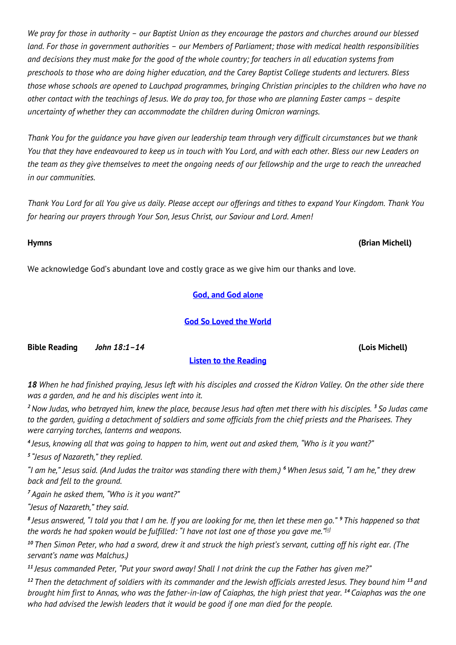*We pray for those in authority – our Baptist Union as they encourage the pastors and churches around our blessed land. For those in government authorities – our Members of Parliament; those with medical health responsibilities and decisions they must make for the good of the whole country; for teachers in all education systems from preschools to those who are doing higher education, and the Carey Baptist College students and lecturers. Bless those whose schools are opened to Lauchpad programmes, bringing Christian principles to the children who have no other contact with the teachings of Jesus. We do pray too, for those who are planning Easter camps - despite uncertainty of whether they can accommodate the children during Omicron warnings.*

*Thank You for the guidance you have given our leadership team through very difficult circumstances but we thank You that they have endeavoured to keep us in touch with You Lord, and with each other. Bless our new Leaders on the team as they give themselves to meet the ongoing needs of our fellowship and the urge to reach the unreached in our communities.*

*Thank You Lord for all You give us daily. Please accept our offerings and tithes to expand Your Kingdom. Thank You for hearing our prayers through Your Son, Jesus Christ, our Saviour and Lord. Amen!*

We acknowledge God's abundant love and costly grace as we give him our thanks and love.

## **[God, and God alone](http://www.viewpure.com/rSuFA7ZZL-M?start=0&end=0)**

### **[God So Loved the World](http://www.viewpure.com/_14CpHBRd3k?start=0&end=0)**

**Bible Reading** *John 18:1–14* **(Lois Michell)**

### **[Listen to the Reading](https://milfordbaptist.co.nz/wp-content/uploads/2022/03/2022.03.20-Scripture-Reading.mp3)**

*18 When he had finished praying, Jesus left with his disciples and crossed the Kidron Valley. On the other side there was a garden, and he and his disciples went into it.*

*<sup>2</sup>Now Judas, who betrayed him, knew the place, because Jesus had often met there with his disciples. <sup>3</sup> So Judas came to the garden, guiding a detachment of soldiers and some officials from the chief priests and the Pharisees. They were carrying torches, lanterns and weapons.*

*4 Jesus, knowing all that was going to happen to him, went out and asked them, "Who is it you want?"*

*5 "Jesus of Nazareth," they replied.*

*"I am he," Jesus said. (And Judas the traitor was standing there with them.) <sup>6</sup> When Jesus said, "I am he," they drew back and fell to the ground.*

*<sup>7</sup> Again he asked them, "Who is it you want?"*

*"Jesus of Nazareth," they said.*

*8 Jesus answered, "I told you that I am he. If you are looking for me, then let these men go." <sup>9</sup> This happened so that the words he had spoken would be fulfilled: "I have not lost one of those you gave me."[\[a\]](https://www.biblegateway.com/passage/?search=John+18%3A1%E2%80%9314&version=NIV#fen-NIV-26795a)*

*<sup>10</sup> Then Simon Peter, who had a sword, drew it and struck the high priest's servant, cutting off his right ear. (The servant's name was Malchus.)*

*<sup>11</sup> Jesus commanded Peter, "Put your sword away! Shall I not drink the cup the Father has given me?"*

*<sup>12</sup> Then the detachment of soldiers with its commander and the Jewish officials arrested Jesus. They bound him <sup>13</sup> and brought him first to Annas, who was the father-in-law of Caiaphas, the high priest that year. <sup>14</sup> Caiaphas was the one who had advised the Jewish leaders that it would be good if one man died for the people.*

# **Hymns (Brian Michell)**